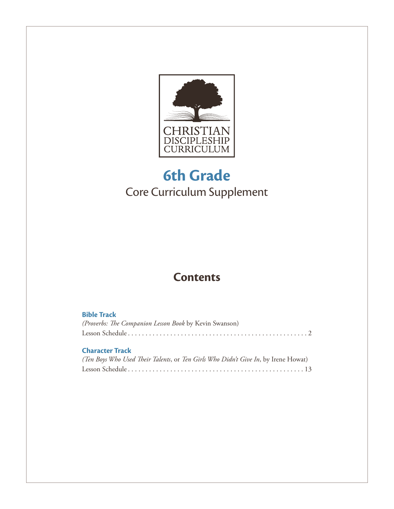

## **6th Grade** Core Curriculum Supplement

## **Contents**

| <b>Bible Track</b>                                                                 |
|------------------------------------------------------------------------------------|
| (Proverbs: The Companion Lesson Book by Kevin Swanson)                             |
|                                                                                    |
| <b>Character Track</b>                                                             |
| (Ten Boys Who Used Their Talents, or Ten Girls Who Didn't Give In, by Irene Howat) |
|                                                                                    |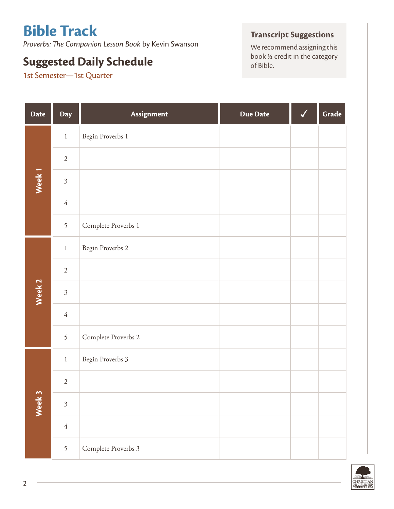# **Bible Track**

*Proverbs: The Companion Lesson Book* by Kevin Swanson

## **Suggested Daily Schedule Suggested Daily Schedule Suggested Daily Schedule Suggested Daily Schedule**

1st Semester—1st Quarter

#### **Transcript Suggestions**

We recommend assigning this<br>book  $\frac{1}{2}$  credit in the category

| <b>Date</b>       | Day            | Assignment          | <b>Due Date</b> | Grade |
|-------------------|----------------|---------------------|-----------------|-------|
|                   | $1\,$          | Begin Proverbs 1    |                 |       |
|                   | $\sqrt{2}$     |                     |                 |       |
| Week <sub>1</sub> | $\mathfrak{Z}$ |                     |                 |       |
|                   | $\sqrt{4}$     |                     |                 |       |
|                   | 5              | Complete Proverbs 1 |                 |       |
|                   | $\,1\,$        | Begin Proverbs 2    |                 |       |
|                   | $\sqrt{2}$     |                     |                 |       |
| Week <sub>2</sub> | $\mathfrak{Z}$ |                     |                 |       |
|                   | $\sqrt{4}$     |                     |                 |       |
|                   | 5              | Complete Proverbs 2 |                 |       |
|                   | $\,1\,$        | Begin Proverbs 3    |                 |       |
|                   | $\sqrt{2}$     |                     |                 |       |
| Week 3            | $\mathfrak{Z}$ |                     |                 |       |
|                   | $\sqrt{4}$     |                     |                 |       |
|                   | 5              | Complete Proverbs 3 |                 |       |

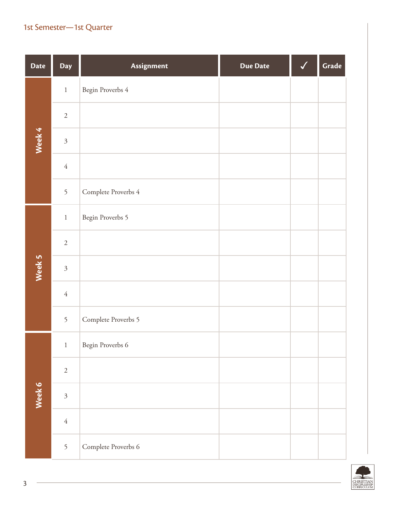| <b>Date</b> | Day            | Assignment          | <b>Due Date</b> | √ | Grade |
|-------------|----------------|---------------------|-----------------|---|-------|
|             | $\,1$          | Begin Proverbs 4    |                 |   |       |
|             | $\sqrt{2}$     |                     |                 |   |       |
| Week 4      | $\mathfrak{Z}$ |                     |                 |   |       |
|             | $\sqrt{4}$     |                     |                 |   |       |
|             | 5              | Complete Proverbs 4 |                 |   |       |
|             | $\,1\,$        | Begin Proverbs 5    |                 |   |       |
|             | $\sqrt{2}$     |                     |                 |   |       |
| Week 5      | $\mathfrak{Z}$ |                     |                 |   |       |
|             | $\sqrt{4}$     |                     |                 |   |       |
|             | 5              | Complete Proverbs 5 |                 |   |       |
|             | $1\,$          | Begin Proverbs 6    |                 |   |       |
|             | $\sqrt{2}$     |                     |                 |   |       |
| Week 6      | $\mathfrak{Z}$ |                     |                 |   |       |
|             | $\sqrt{4}$     |                     |                 |   |       |
|             | 5              | Complete Proverbs 6 |                 |   |       |

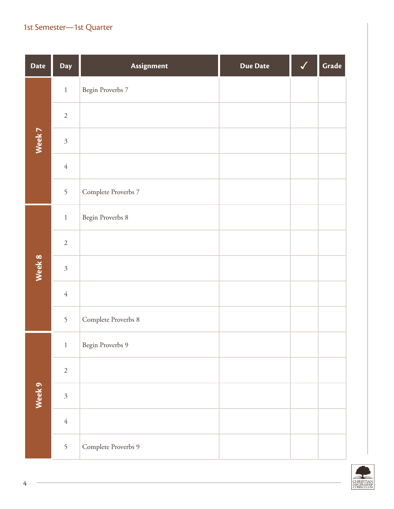| <b>Date</b> | Day            | Assignment          | <b>Due Date</b> | √ | Grade |
|-------------|----------------|---------------------|-----------------|---|-------|
|             | $\,1$          | Begin Proverbs 7    |                 |   |       |
|             | $\sqrt{2}$     |                     |                 |   |       |
| Week 7      | $\mathfrak{Z}$ |                     |                 |   |       |
|             | $\sqrt{4}$     |                     |                 |   |       |
|             | 5              | Complete Proverbs 7 |                 |   |       |
|             | $\,1\,$        | Begin Proverbs 8    |                 |   |       |
|             | $\sqrt{2}$     |                     |                 |   |       |
| Week 8      | $\mathfrak{Z}$ |                     |                 |   |       |
|             | $\sqrt{4}$     |                     |                 |   |       |
|             | 5              | Complete Proverbs 8 |                 |   |       |
|             | $1\,$          | Begin Proverbs 9    |                 |   |       |
|             | $\sqrt{2}$     |                     |                 |   |       |
| Week 9      | $\mathfrak{Z}$ |                     |                 |   |       |
|             | $\sqrt{4}$     |                     |                 |   |       |
|             | 5              | Complete Proverbs 9 |                 |   |       |

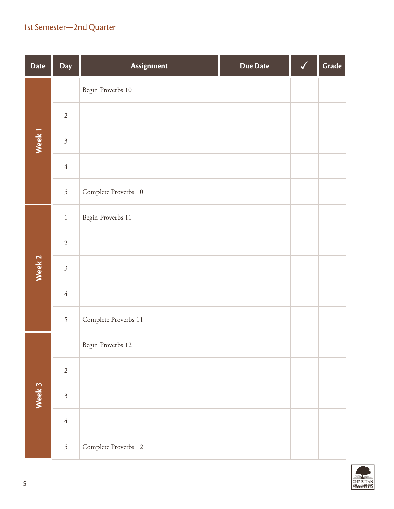| <b>Date</b>       | Day            | Assignment           | <b>Due Date</b> | Grade |
|-------------------|----------------|----------------------|-----------------|-------|
|                   | $\,1\,$        | Begin Proverbs 10    |                 |       |
|                   | $\sqrt{2}$     |                      |                 |       |
| Week <sub>1</sub> | $\mathfrak{Z}$ |                      |                 |       |
|                   | $\sqrt{4}$     |                      |                 |       |
|                   | 5              | Complete Proverbs 10 |                 |       |
|                   | $\,1\,$        | Begin Proverbs 11    |                 |       |
|                   | $\sqrt{2}$     |                      |                 |       |
| Week 2            | $\mathfrak{Z}$ |                      |                 |       |
|                   | $\sqrt{4}$     |                      |                 |       |
|                   | 5              | Complete Proverbs 11 |                 |       |
|                   | $\,1\,$        | Begin Proverbs 12    |                 |       |
|                   | $\sqrt{2}$     |                      |                 |       |
| Week 3            | $\mathfrak{Z}$ |                      |                 |       |
|                   | $\sqrt{4}$     |                      |                 |       |
|                   | 5              | Complete Proverbs 12 |                 |       |

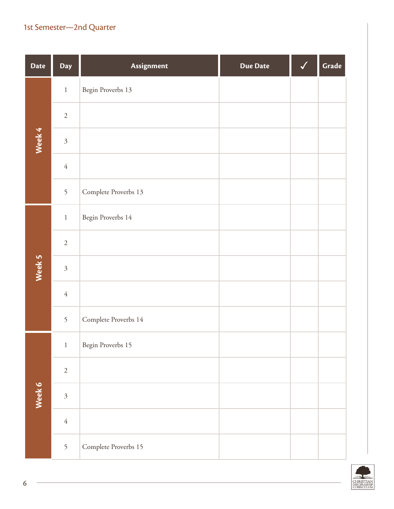| <b>Date</b> | Day            | Assignment           | <b>Due Date</b> | Grade |
|-------------|----------------|----------------------|-----------------|-------|
|             | $\,1\,$        | Begin Proverbs 13    |                 |       |
|             | $\sqrt{2}$     |                      |                 |       |
| Week 4      | $\mathfrak{Z}$ |                      |                 |       |
|             | $\sqrt{4}$     |                      |                 |       |
|             | 5              | Complete Proverbs 13 |                 |       |
|             | $\,1\,$        | Begin Proverbs 14    |                 |       |
|             | $\sqrt{2}$     |                      |                 |       |
| Week 5      | $\mathfrak{Z}$ |                      |                 |       |
|             | $\sqrt{4}$     |                      |                 |       |
|             | 5              | Complete Proverbs 14 |                 |       |
|             | $\,1\,$        | Begin Proverbs 15    |                 |       |
|             | $\sqrt{2}$     |                      |                 |       |
| Week 6      | $\mathfrak{Z}$ |                      |                 |       |
|             | $\sqrt{4}$     |                      |                 |       |
|             | 5              | Complete Proverbs 15 |                 |       |

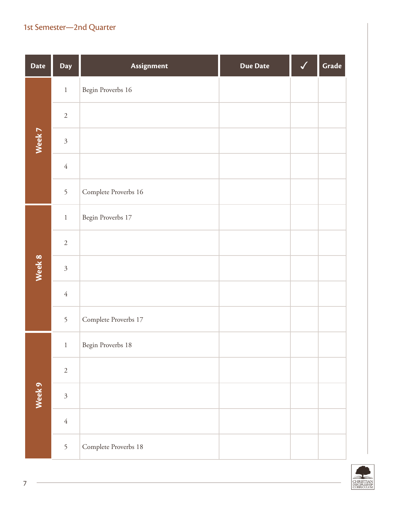| <b>Date</b> | Day            | Assignment           | <b>Due Date</b> | Grade |
|-------------|----------------|----------------------|-----------------|-------|
|             | $\,1\,$        | Begin Proverbs 16    |                 |       |
|             | $\sqrt{2}$     |                      |                 |       |
| Week 7      | $\mathfrak{Z}$ |                      |                 |       |
|             | $\sqrt{4}$     |                      |                 |       |
|             | 5              | Complete Proverbs 16 |                 |       |
|             | $\,1\,$        | Begin Proverbs 17    |                 |       |
|             | $\sqrt{2}$     |                      |                 |       |
| Week 8      | $\mathfrak{Z}$ |                      |                 |       |
|             | $\sqrt{4}$     |                      |                 |       |
|             | 5              | Complete Proverbs 17 |                 |       |
|             | $\,1\,$        | Begin Proverbs 18    |                 |       |
|             | $\sqrt{2}$     |                      |                 |       |
| Week 9      | $\mathfrak{Z}$ |                      |                 |       |
|             | $\sqrt{4}$     |                      |                 |       |
|             | 5              | Complete Proverbs 18 |                 |       |

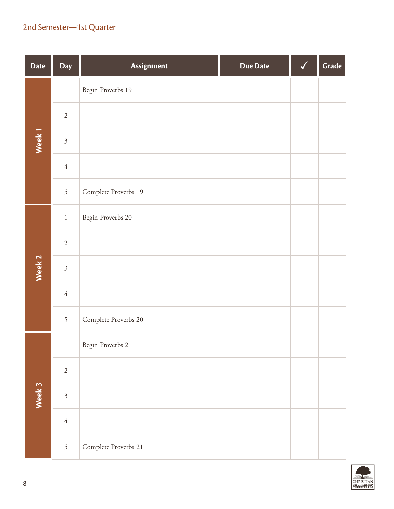| <b>Date</b>       | Day            | Assignment           | <b>Due Date</b> | Grade |
|-------------------|----------------|----------------------|-----------------|-------|
|                   | $\,1$          | Begin Proverbs 19    |                 |       |
|                   | $\sqrt{2}$     |                      |                 |       |
| Week <sub>1</sub> | $\mathfrak{Z}$ |                      |                 |       |
|                   | $\sqrt{4}$     |                      |                 |       |
|                   | 5              | Complete Proverbs 19 |                 |       |
|                   | $\,1\,$        | Begin Proverbs 20    |                 |       |
|                   | $\sqrt{2}$     |                      |                 |       |
| Week 2            | $\overline{3}$ |                      |                 |       |
|                   | $\sqrt{4}$     |                      |                 |       |
|                   | 5              | Complete Proverbs 20 |                 |       |
|                   | $\,1$          | Begin Proverbs 21    |                 |       |
|                   | $\sqrt{2}$     |                      |                 |       |
| Week 3            | $\mathfrak{Z}$ |                      |                 |       |
|                   | $\sqrt{4}$     |                      |                 |       |
|                   | 5              | Complete Proverbs 21 |                 |       |

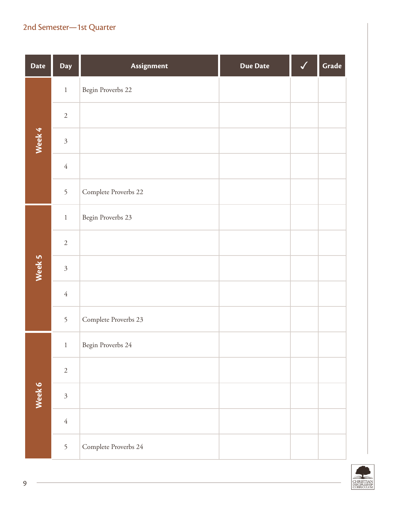| <b>Date</b> | Day            | Assignment           | <b>Due Date</b> | Grade |
|-------------|----------------|----------------------|-----------------|-------|
|             | $\,1$          | Begin Proverbs 22    |                 |       |
|             | $\sqrt{2}$     |                      |                 |       |
| Week 4      | $\mathfrak{Z}$ |                      |                 |       |
|             | $\sqrt{4}$     |                      |                 |       |
|             | 5              | Complete Proverbs 22 |                 |       |
|             | $\,1\,$        | Begin Proverbs 23    |                 |       |
|             | $\sqrt{2}$     |                      |                 |       |
| Week 5      | $\overline{3}$ |                      |                 |       |
|             | $\sqrt{4}$     |                      |                 |       |
|             | 5              | Complete Proverbs 23 |                 |       |
|             | $\,1$          | Begin Proverbs 24    |                 |       |
|             | $\sqrt{2}$     |                      |                 |       |
| Week 6      | $\mathfrak{Z}$ |                      |                 |       |
|             | $\sqrt{4}$     |                      |                 |       |
|             | 5              | Complete Proverbs 24 |                 |       |

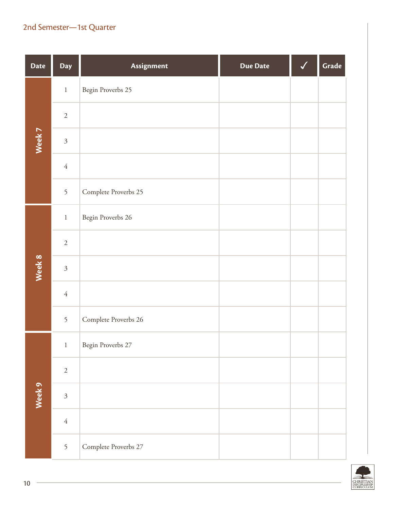| <b>Date</b> | Day            | Assignment           | <b>Due Date</b> | Grade |
|-------------|----------------|----------------------|-----------------|-------|
|             | $\,1\,$        | Begin Proverbs 25    |                 |       |
|             | $\sqrt{2}$     |                      |                 |       |
| Week 7      | $\mathfrak{Z}$ |                      |                 |       |
|             | $\sqrt{4}$     |                      |                 |       |
|             | 5              | Complete Proverbs 25 |                 |       |
|             | $\,1\,$        | Begin Proverbs 26    |                 |       |
|             | $\sqrt{2}$     |                      |                 |       |
| Week 8      | $\mathfrak{Z}$ |                      |                 |       |
|             | $\sqrt{4}$     |                      |                 |       |
|             | 5              | Complete Proverbs 26 |                 |       |
|             | $\,1\,$        | Begin Proverbs 27    |                 |       |
|             | $\sqrt{2}$     |                      |                 |       |
| Week 9      | $\mathfrak{Z}$ |                      |                 |       |
|             | $\sqrt{4}$     |                      |                 |       |
|             | 5              | Complete Proverbs 27 |                 |       |



 $\sim$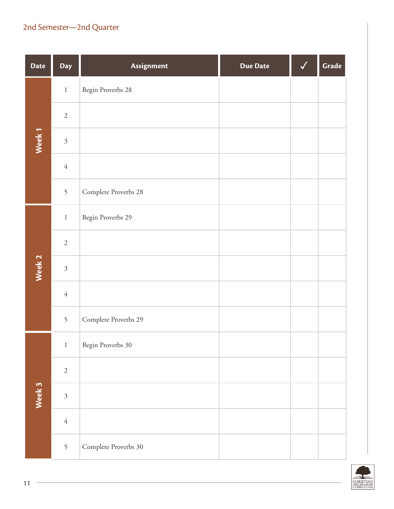| <b>Date</b>       | Day            | Assignment           | <b>Due Date</b> | Grade |
|-------------------|----------------|----------------------|-----------------|-------|
|                   | $\,1$          | Begin Proverbs 28    |                 |       |
|                   | $\sqrt{2}$     |                      |                 |       |
| Week <sub>1</sub> | $\mathfrak{Z}$ |                      |                 |       |
|                   | $\sqrt{4}$     |                      |                 |       |
|                   | 5              | Complete Proverbs 28 |                 |       |
|                   | $\,1\,$        | Begin Proverbs 29    |                 |       |
|                   | $\sqrt{2}$     |                      |                 |       |
| Week 2            | $\mathfrak{Z}$ |                      |                 |       |
|                   | $\sqrt{4}$     |                      |                 |       |
|                   | 5              | Complete Proverbs 29 |                 |       |
|                   | $\,1\,$        | Begin Proverbs 30    |                 |       |
|                   | $\sqrt{2}$     |                      |                 |       |
| Week 3            | $\mathfrak{Z}$ |                      |                 |       |
|                   | $\sqrt{4}$     |                      |                 |       |
|                   | 5              | Complete Proverbs 30 |                 |       |

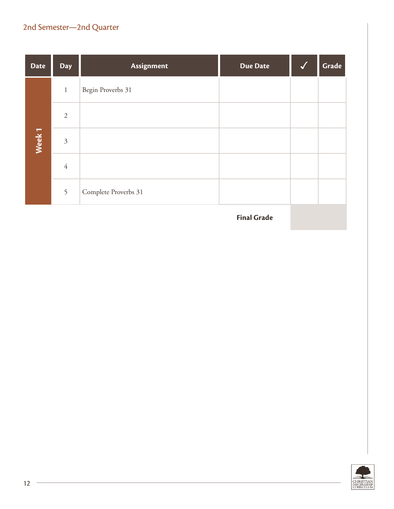| <b>Date</b>       | <b>Day</b>     | Assignment           | <b>Due Date</b> | Grade |
|-------------------|----------------|----------------------|-----------------|-------|
|                   | $\,1\,$        | Begin Proverbs 31    |                 |       |
|                   | $\overline{2}$ |                      |                 |       |
| Week <sub>1</sub> | $\mathfrak{Z}$ |                      |                 |       |
|                   | $\overline{4}$ |                      |                 |       |
|                   | 5              | Complete Proverbs 31 |                 |       |

**Final Grade**

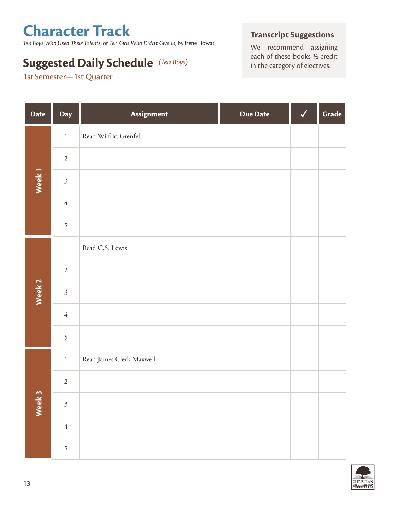# **Character Track**

*Ten Boys Who Used Their Talents*, or *Ten Girls Who Didn't Give In*, by Irene Howat

# **Suggested Daily Schedule** (Ten Boys) each of these books 1/2 credit in the category of electives.

1st Semester—1st Quarter

#### **Transcript Suggestions**

We recommend assigning

| <b>Date</b>       | Day            | Assignment               | <b>Due Date</b> | $\checkmark$ | Grade |
|-------------------|----------------|--------------------------|-----------------|--------------|-------|
|                   | $\,1\,$        | Read Wilfrid Grenfell    |                 |              |       |
|                   | $\sqrt{2}$     |                          |                 |              |       |
| Week <sub>1</sub> | $\mathfrak{Z}$ |                          |                 |              |       |
|                   | $\sqrt{4}$     |                          |                 |              |       |
|                   | 5              |                          |                 |              |       |
|                   | $1\,$          | Read C.S. Lewis          |                 |              |       |
|                   | $\sqrt{2}$     |                          |                 |              |       |
| Week 2            | $\mathfrak{Z}$ |                          |                 |              |       |
|                   | $\sqrt{4}$     |                          |                 |              |       |
|                   | 5              |                          |                 |              |       |
|                   | $1\,$          | Read James Clerk Maxwell |                 |              |       |
| Week 3            | $\sqrt{2}$     |                          |                 |              |       |
|                   | $\mathfrak{Z}$ |                          |                 |              |       |
|                   | $\sqrt{ }$     |                          |                 |              |       |
|                   | 5              |                          |                 |              |       |

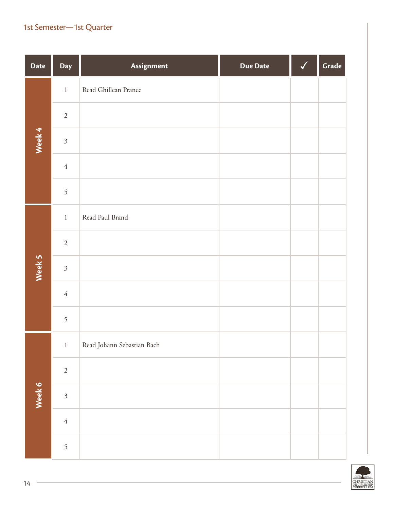| <b>Date</b> | Day            | Assignment                 | <b>Due Date</b> | $\blacktriangledown$ | Grade |
|-------------|----------------|----------------------------|-----------------|----------------------|-------|
|             | $\,1$          | Read Ghillean Prance       |                 |                      |       |
|             | $\sqrt{2}$     |                            |                 |                      |       |
| Week 4      | $\mathfrak{Z}$ |                            |                 |                      |       |
|             | $\sqrt{4}$     |                            |                 |                      |       |
|             | 5              |                            |                 |                      |       |
|             | $\,1$          | Read Paul Brand            |                 |                      |       |
|             | $\sqrt{2}$     |                            |                 |                      |       |
| Week 5      | $\mathfrak{Z}$ |                            |                 |                      |       |
|             | $\sqrt{4}$     |                            |                 |                      |       |
|             | 5              |                            |                 |                      |       |
|             | $\mathbf{1}$   | Read Johann Sebastian Bach |                 |                      |       |
| Week 6      | $\sqrt{2}$     |                            |                 |                      |       |
|             | $\overline{3}$ |                            |                 |                      |       |
|             | $\sqrt{4}$     |                            |                 |                      |       |
|             | 5              |                            |                 |                      |       |

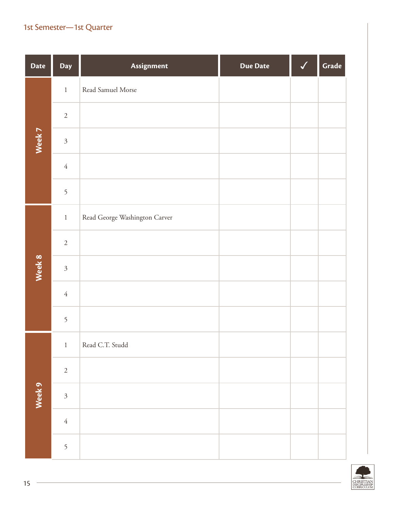| <b>Date</b> | Day            | Assignment                    | <b>Due Date</b> | √ | Grade |
|-------------|----------------|-------------------------------|-----------------|---|-------|
|             | $\,1\,$        | Read Samuel Morse             |                 |   |       |
|             | $\sqrt{2}$     |                               |                 |   |       |
| Week 7      | $\mathfrak{Z}$ |                               |                 |   |       |
|             | $\sqrt{4}$     |                               |                 |   |       |
|             | 5              |                               |                 |   |       |
|             | $\,1\,$        | Read George Washington Carver |                 |   |       |
|             | $\sqrt{2}$     |                               |                 |   |       |
| Week 8      | $\mathfrak{Z}$ |                               |                 |   |       |
|             | $\sqrt{4}$     |                               |                 |   |       |
|             | 5              |                               |                 |   |       |
|             | $\,1\,$        | Read C.T. Studd               |                 |   |       |
|             | $\sqrt{2}$     |                               |                 |   |       |
| Week 9      | $\mathfrak{Z}$ |                               |                 |   |       |
|             | $\sqrt{4}$     |                               |                 |   |       |
|             | 5              |                               |                 |   |       |

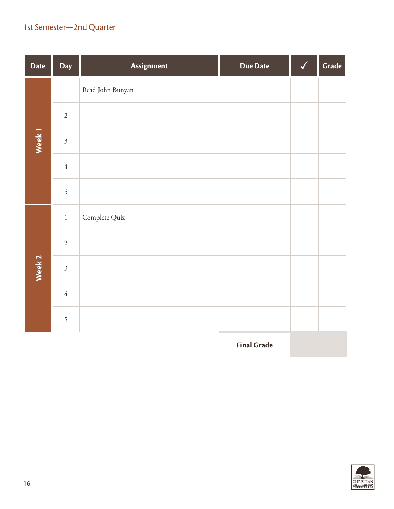| <b>Date</b>       | Day            | Assignment       | Due Date | Grade |
|-------------------|----------------|------------------|----------|-------|
|                   | $\,1$          | Read John Bunyan |          |       |
|                   | $\sqrt{2}$     |                  |          |       |
| Week <sub>1</sub> | $\mathfrak{Z}$ |                  |          |       |
|                   | $\sqrt{4}$     |                  |          |       |
|                   | 5              |                  |          |       |
| Week 2            | $\,1\,$        | Complete Quiz    |          |       |
|                   | $\sqrt{2}$     |                  |          |       |
|                   | $\mathfrak{Z}$ |                  |          |       |
|                   | $\sqrt{4}$     |                  |          |       |
|                   | 5              |                  |          |       |

**Final Grade**

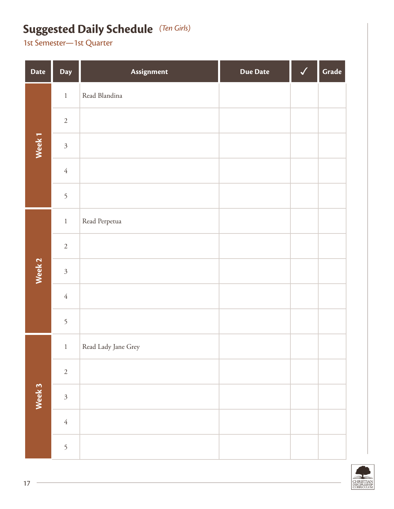## **Suggested Daily Schedule** *(Ten Girls)*

| <b>Date</b>       | Day                       | Assignment          | Due Date | $\checkmark$ | Grade |
|-------------------|---------------------------|---------------------|----------|--------------|-------|
|                   | $\,1\,$                   | Read Blandina       |          |              |       |
|                   | $\sqrt{2}$                |                     |          |              |       |
| Week <sub>1</sub> | $\mathfrak{Z}$            |                     |          |              |       |
|                   | $\sqrt{4}$                |                     |          |              |       |
|                   | 5                         |                     |          |              |       |
|                   | $\,1\,$                   | Read Perpetua       |          |              |       |
|                   | $\sqrt{2}$                |                     |          |              |       |
| Week 2            | $\mathfrak{Z}$            |                     |          |              |       |
|                   | $\sqrt{4}$                |                     |          |              |       |
|                   | 5                         |                     |          |              |       |
|                   | $\mathbf{1}$              | Read Lady Jane Grey |          |              |       |
| Week 3            | $\sqrt{2}$                |                     |          |              |       |
|                   | $\overline{\mathfrak{Z}}$ |                     |          |              |       |
|                   | $\sqrt{4}$                |                     |          |              |       |
|                   | 5                         |                     |          |              |       |

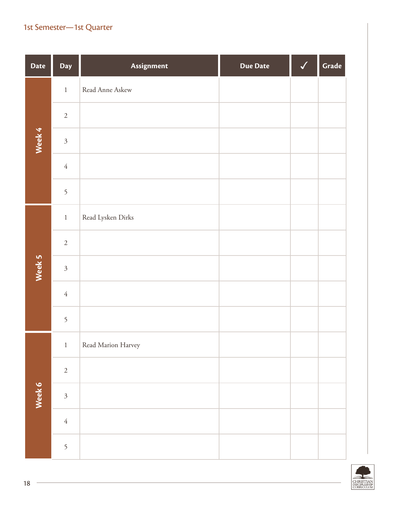| <b>Date</b> | Day            | Assignment         | <b>Due Date</b> | $\checkmark$ | Grade |
|-------------|----------------|--------------------|-----------------|--------------|-------|
|             | $\,1\,$        | Read Anne Askew    |                 |              |       |
|             | $\sqrt{2}$     |                    |                 |              |       |
| Week 4      | $\mathfrak{Z}$ |                    |                 |              |       |
|             | $\sqrt{4}$     |                    |                 |              |       |
|             | 5              |                    |                 |              |       |
|             | $\,1\,$        | Read Lysken Dirks  |                 |              |       |
|             | $\sqrt{2}$     |                    |                 |              |       |
| Week 5      | $\mathfrak{Z}$ |                    |                 |              |       |
|             | $\sqrt{4}$     |                    |                 |              |       |
|             | 5              |                    |                 |              |       |
|             | $\,1$          | Read Marion Harvey |                 |              |       |
| Week 6      | $\sqrt{2}$     |                    |                 |              |       |
|             | $\mathfrak{Z}$ |                    |                 |              |       |
|             | $\sqrt{4}$     |                    |                 |              |       |
|             | 5              |                    |                 |              |       |

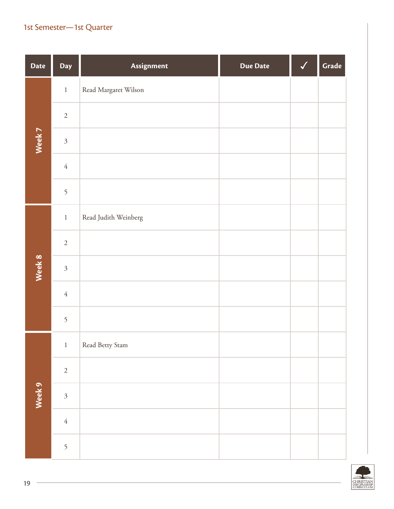| <b>Date</b> | Day            | Assignment           | <b>Due Date</b> | $\checkmark$ | Grade |
|-------------|----------------|----------------------|-----------------|--------------|-------|
|             | $\,1$          | Read Margaret Wilson |                 |              |       |
|             | $\sqrt{2}$     |                      |                 |              |       |
| Week 7      | $\mathfrak{Z}$ |                      |                 |              |       |
|             | $\sqrt{4}$     |                      |                 |              |       |
|             | 5              |                      |                 |              |       |
|             | $\,1$          | Read Judith Weinberg |                 |              |       |
|             | $\sqrt{2}$     |                      |                 |              |       |
| Week 8      | $\mathfrak{Z}$ |                      |                 |              |       |
|             | $\sqrt{4}$     |                      |                 |              |       |
|             | 5              |                      |                 |              |       |
|             | $1\,$          | Read Betty Stam      |                 |              |       |
| Week 9      | $\sqrt{2}$     |                      |                 |              |       |
|             | $\overline{3}$ |                      |                 |              |       |
|             | $\sqrt{4}$     |                      |                 |              |       |
|             | 5              |                      |                 |              |       |